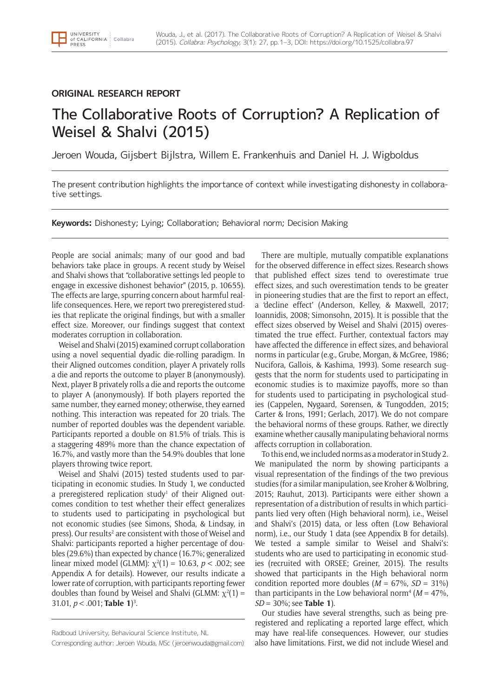# **ORIGINAL RESEARCH REPORT**

UNIVERSITY

of CALIFORNIA : Collabra<br>PRESS

# The Collaborative Roots of Corruption? A Replication of Weisel & Shalvi (2015)

Jeroen Wouda, Gijsbert Bijlstra, Willem E. Frankenhuis and Daniel H. J. Wigboldus

The present contribution highlights the importance of context while investigating dishonesty in collaborative settings.

**Keywords:** Dishonesty; Lying; Collaboration; Behavioral norm; Decision Making

People are social animals; many of our good and bad behaviors take place in groups. A recent study by Weisel and Shalvi shows that "collaborative settings led people to engage in excessive dishonest behavior" (2015, p. 10655). The effects are large, spurring concern about harmful reallife consequences. Here, we report two preregistered studies that replicate the original findings, but with a smaller effect size. Moreover, our findings suggest that context moderates corruption in collaboration.

Weisel and Shalvi (2015) examined corrupt collaboration using a novel sequential dyadic die-rolling paradigm. In their Aligned outcomes condition, player A privately rolls a die and reports the outcome to player B (anonymously). Next, player B privately rolls a die and reports the outcome to player A (anonymously). If both players reported the same number, they earned money; otherwise, they earned nothing. This interaction was repeated for 20 trials. The number of reported doubles was the dependent variable. Participants reported a double on 81.5% of trials. This is a staggering 489% more than the chance expectation of 16.7%, and vastly more than the 54.9% doubles that lone players throwing twice report.

Weisel and Shalvi (2015) tested students used to participating in economic studies. In Study 1, we conducted a preregistered replication study<sup>1</sup> of their Aligned outcomes condition to test whether their effect generalizes to students used to participating in psychological but not economic studies (see Simons, Shoda, & Lindsay, in press). Our results<sup>2</sup> are consistent with those of Weisel and Shalvi: participants reported a higher percentage of doubles (29.6%) than expected by chance (16.7%; generalized linear mixed model (GLMM):  $\chi^2(1) = 10.63$ ,  $p < .002$ ; see Appendix A for details). However, our results indicate a lower rate of corruption, with participants reporting fewer doubles than found by Weisel and Shalvi (GLMM:  $\chi^2(1)$  = 31.01, *p* < .001; **Table 1**) 3 .

Corresponding author: Jeroen Wouda, MSc (jeroenwouda@gmail.com)

There are multiple, mutually compatible explanations for the observed difference in effect sizes. Research shows that published effect sizes tend to overestimate true effect sizes, and such overestimation tends to be greater in pioneering studies that are the first to report an effect, a 'decline effect' (Anderson, Kelley, & Maxwell, 2017; Ioannidis, 2008; Simonsohn, 2015). It is possible that the effect sizes observed by Weisel and Shalvi (2015) overestimated the true effect. Further, contextual factors may have affected the difference in effect sizes, and behavioral norms in particular (e.g., Grube, Morgan, & McGree, 1986; Nucifora, Gallois, & Kashima, 1993). Some research suggests that the norm for students used to participating in economic studies is to maximize payoffs, more so than for students used to participating in psychological studies (Cappelen, Nygaard, Sørensen, & Tungodden, 2015; Carter & Irons, 1991; Gerlach, 2017). We do not compare the behavioral norms of these groups. Rather, we directly examine whether causally manipulating behavioral norms affects corruption in collaboration.

To this end, we included norms as a moderator in Study 2. We manipulated the norm by showing participants a visual representation of the findings of the two previous studies (for a similar manipulation, see Kroher & Wolbring, 2015; Rauhut, 2013). Participants were either shown a representation of a distribution of results in which participants lied very often (High behavioral norm), i.e., Weisel and Shalvi's (2015) data, or less often (Low Behavioral norm), i.e., our Study 1 data (see Appendix B for details). We tested a sample similar to Weisel and Shalvi's: students who are used to participating in economic studies (recruited with ORSEE; Greiner, 2015). The results showed that participants in the High behavioral norm condition reported more doubles  $(M = 67\%, SD = 31\%)$ than participants in the Low behavioral norm<sup>4</sup> ( $M = 47\%$ , *SD* = 30%; see **Table 1**).

Our studies have several strengths, such as being preregistered and replicating a reported large effect, which may have real-life consequences. However, our studies also have limitations. First, we did not include Wiesel and

Radboud University, Behavioural Science Institute, NL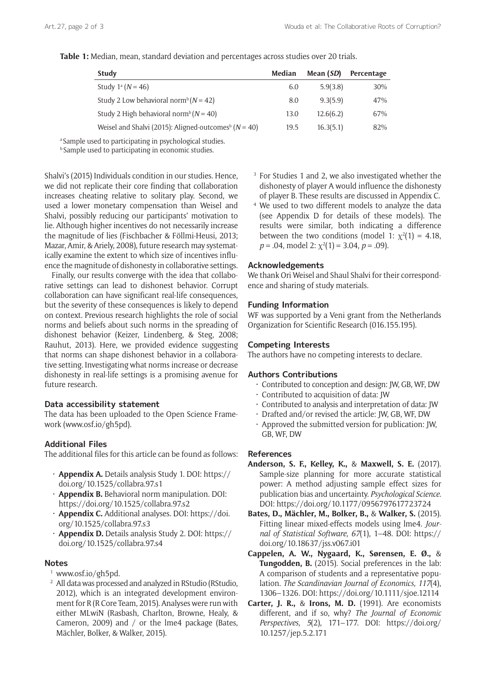#### **Table 1:** Median, mean, standard deviation and percentages across studies over 20 trials.

| <b>Study</b>                                                         | Median | Mean (SD) | Percentage |
|----------------------------------------------------------------------|--------|-----------|------------|
| Study $1^{\text{a}} (N = 46)$                                        | 6.0    | 5.9(3.8)  | 30%        |
| Study 2 Low behavioral norm <sup>b</sup> ( $N = 42$ )                | 8.0    | 9.3(5.9)  | 47%        |
| Study 2 High behavioral norm <sup>b</sup> ( $N = 40$ )               | 13.0   | 12.6(6.2) | 67%        |
| Weisel and Shalvi (2015): Aligned-outcomes <sup>b</sup> ( $N = 40$ ) | 19.5   | 16.3(5.1) | 82%        |

<sup>a</sup> Sample used to participating in psychological studies.

**b** Sample used to participating in economic studies.

Shalvi's (2015) Individuals condition in our studies. Hence, we did not replicate their core finding that collaboration increases cheating relative to solitary play. Second, we used a lower monetary compensation than Weisel and Shalvi, possibly reducing our participants' motivation to lie. Although higher incentives do not necessarily increase the magnitude of lies (Fischbacher & Föllmi-Heusi, 2013; Mazar, Amir, & Ariely, 2008), future research may systematically examine the extent to which size of incentives influence the magnitude of dishonesty in collaborative settings.

Finally, our results converge with the idea that collaborative settings can lead to dishonest behavior. Corrupt collaboration can have significant real-life consequences, but the severity of these consequences is likely to depend on context. Previous research highlights the role of social norms and beliefs about such norms in the spreading of dishonest behavior (Keizer, Lindenberg, & Steg, 2008; Rauhut, 2013). Here, we provided evidence suggesting that norms can shape dishonest behavior in a collaborative setting. Investigating what norms increase or decrease dishonesty in real-life settings is a promising avenue for future research.

## **Data accessibility statement**

The data has been uploaded to the Open Science Framework (www.osf.io/gh5pd).

## **Additional Files**

The additional files for this article can be found as follows:

- **Appendix A.** Details analysis Study 1. DOI: [https://](https://doi.org/10.1525/collabra.97.s1) [doi.org/10.1525/collabra.97.s1](https://doi.org/10.1525/collabra.97.s1)
- **Appendix B.** Behavioral norm manipulation. DOI: <https://doi.org/10.1525/collabra.97.s2>
- **Appendix C.** Additional analyses. DOI: [https://doi.](https://doi.org/10.1525/collabra.97.s3) [org/10.1525/collabra.97.s3](https://doi.org/10.1525/collabra.97.s3)
- **Appendix D.** Details analysis Study 2. DOI: [https://](https://doi.org/10.1525/collabra.97.s4) [doi.org/10.1525/collabra.97.s4](https://doi.org/10.1525/collabra.97.s4)

# **Notes**

- <sup>1</sup> www.osf.io/gh5pd.
- <sup>2</sup> All data was processed and analyzed in RStudio (RStudio, 2012), which is an integrated development environment for R (R Core Team, 2015). Analyses were run with either MLwiN (Rasbash, Charlton, Browne, Healy, & Cameron, 2009) and / or the lme4 package (Bates, Mächler, Bolker, & Walker, 2015).
- <sup>3</sup> For Studies 1 and 2, we also investigated whether the dishonesty of player A would influence the dishonesty of player B. These results are discussed in Appendix C.
- <sup>4</sup> We used to two different models to analyze the data (see Appendix D for details of these models). The results were similar, both indicating a difference between the two conditions (model 1:  $\chi^2(1) = 4.18$ , *p* = .04, model 2: χ<sup>2</sup> (1) = 3.04, *p* = .09).

#### **Acknowledgements**

We thank Ori Weisel and Shaul Shalvi for their correspondence and sharing of study materials.

## **Funding Information**

WF was supported by a Veni grant from the Netherlands Organization for Scientific Research (016.155.195).

# **Competing Interests**

The authors have no competing interests to declare.

## **Authors Contributions**

- Contributed to conception and design: JW, GB, WF, DW
- Contributed to acquisition of data: JW
- Contributed to analysis and interpretation of data: JW
- Drafted and/or revised the article: JW, GB, WF, DW
- Approved the submitted version for publication: JW, GB, WF, DW

# **References**

- **Anderson, S. F., Kelley, K.,** & **Maxwell, S. E.** (2017). Sample-size planning for more accurate statistical power: A method adjusting sample effect sizes for publication bias and uncertainty. *Psychological Science.* DOI:<https://doi.org/10.1177/0956797617723724>
- **Bates, D., Mächler, M., Bolker, B.,** & **Walker, S.** (2015). Fitting linear mixed-effects models using lme4. *Journal of Statistical Software, 67*(1), 1–48. DOI: [https://](https://doi.org/10.18637/jss.v067.i01) [doi.org/10.18637/jss.v067.i01](https://doi.org/10.18637/jss.v067.i01)
- **Cappelen, A. W., Nygaard, K., Sørensen, E. Ø.,** & **Tungodden, B.** (2015). Social preferences in the lab: A comparison of students and a representative population. *The Scandinavian Journal of Economics, 117*(4), 1306–1326. DOI: <https://doi.org/10.1111/sjoe.12114>
- **Carter, J. R.,** & **Irons, M. D.** (1991). Are economists different, and if so, why? *The Journal of Economic Perspectives, 5*(2), 171–177. DOI: [https://doi.org/](https://doi.org/10.1257/jep.5.2.171) [10.1257/jep.5.2.171](https://doi.org/10.1257/jep.5.2.171)